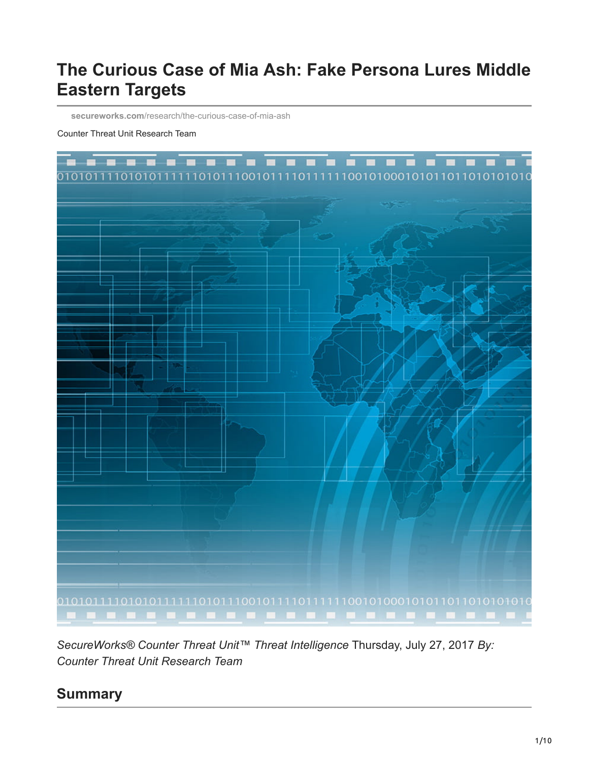# **The Curious Case of Mia Ash: Fake Persona Lures Middle Eastern Targets**

**secureworks.com**[/research/the-curious-case-of-mia-ash](https://www.secureworks.com/research/the-curious-case-of-mia-ash)

#### Counter Threat Unit Research Team



*SecureWorks® Counter Threat Unit™ Threat Intelligence* Thursday, July 27, 2017 *By: Counter Threat Unit Research Team*

### **Summary**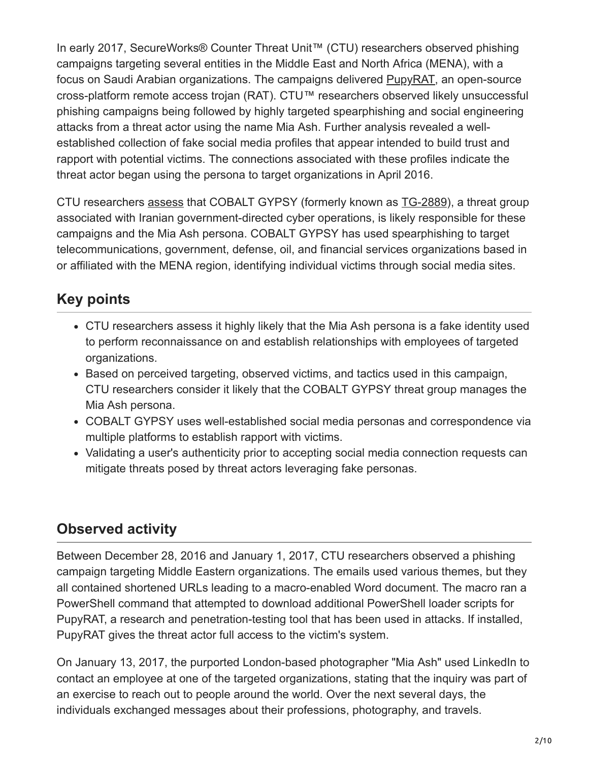In early 2017, SecureWorks® Counter Threat Unit™ (CTU) researchers observed phishing campaigns targeting several entities in the Middle East and North Africa (MENA), with a focus on Saudi Arabian organizations. The campaigns delivered [PupyRAT](https://github.com/n1nj4sec/pupy), an open-source cross-platform remote access trojan (RAT). CTU™ researchers observed likely unsuccessful phishing campaigns being followed by highly targeted spearphishing and social engineering attacks from a threat actor using the name Mia Ash. Further analysis revealed a wellestablished collection of fake social media profiles that appear intended to build trust and rapport with potential victims. The connections associated with these profiles indicate the threat actor began using the persona to target organizations in April 2016.

CTU researchers [assess](#page-7-0) that COBALT GYPSY (formerly known as [TG-2889\)](https://www.secureworks.com/research/suspected-iran-based-hacker-group-creates-network-of-fake-linkedin-profiles), a threat group associated with Iranian government-directed cyber operations, is likely responsible for these campaigns and the Mia Ash persona. COBALT GYPSY has used spearphishing to target telecommunications, government, defense, oil, and financial services organizations based in or affiliated with the MENA region, identifying individual victims through social media sites.

# **Key points**

- CTU researchers assess it highly likely that the Mia Ash persona is a fake identity used to perform reconnaissance on and establish relationships with employees of targeted organizations.
- Based on perceived targeting, observed victims, and tactics used in this campaign, CTU researchers consider it likely that the COBALT GYPSY threat group manages the Mia Ash persona.
- COBALT GYPSY uses well-established social media personas and correspondence via multiple platforms to establish rapport with victims.
- Validating a user's authenticity prior to accepting social media connection requests can mitigate threats posed by threat actors leveraging fake personas.

## <span id="page-1-0"></span>**Observed activity**

Between December 28, 2016 and January 1, 2017, CTU researchers observed a phishing campaign targeting Middle Eastern organizations. The emails used various themes, but they all contained shortened URLs leading to a macro-enabled Word document. The macro ran a PowerShell command that attempted to download additional PowerShell loader scripts for PupyRAT, a research and penetration-testing tool that has been used in attacks. If installed, PupyRAT gives the threat actor full access to the victim's system.

On January 13, 2017, the purported London-based photographer "Mia Ash" used LinkedIn to contact an employee at one of the targeted organizations, stating that the inquiry was part of an exercise to reach out to people around the world. Over the next several days, the individuals exchanged messages about their professions, photography, and travels.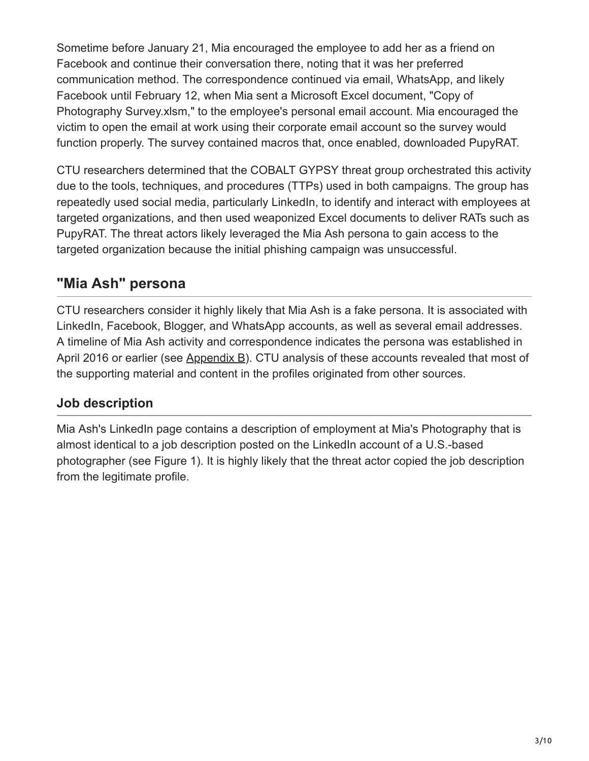Sometime before January 21, Mia encouraged the employee to add her as a friend on Facebook and continue their conversation there, noting that it was her preferred communication method. The correspondence continued via email, WhatsApp, and likely Facebook until February 12, when Mia sent a Microsoft Excel document, "Copy of Photography Survey.xlsm," to the employee's personal email account. Mia encouraged the victim to open the email at work using their corporate email account so the survey would function properly. The survey contained macros that, once enabled, downloaded PupyRAT.

CTU researchers determined that the COBALT GYPSY threat group orchestrated this activity due to the tools, techniques, and procedures (TTPs) used in both campaigns. The group has repeatedly used social media, particularly LinkedIn, to identify and interact with employees at targeted organizations, and then used weaponized Excel documents to deliver RATs such as PupyRAT. The threat actors likely leveraged the Mia Ash persona to gain access to the targeted organization because the initial phishing campaign was unsuccessful.

# **"Mia Ash" persona**

CTU researchers consider it highly likely that Mia Ash is a fake persona. It is associated with LinkedIn, Facebook, Blogger, and WhatsApp accounts, as well as several email addresses. A timeline of Mia Ash activity and correspondence indicates the persona was established in April 2016 or earlier (see [Appendix B](#page-7-1)). CTU analysis of these accounts revealed that most of the supporting material and content in the profiles originated from other sources.

### **Job description**

Mia Ash's LinkedIn page contains a description of employment at Mia's Photography that is almost identical to a job description posted on the LinkedIn account of a U.S.-based photographer (see Figure 1). It is highly likely that the threat actor copied the job description from the legitimate profile.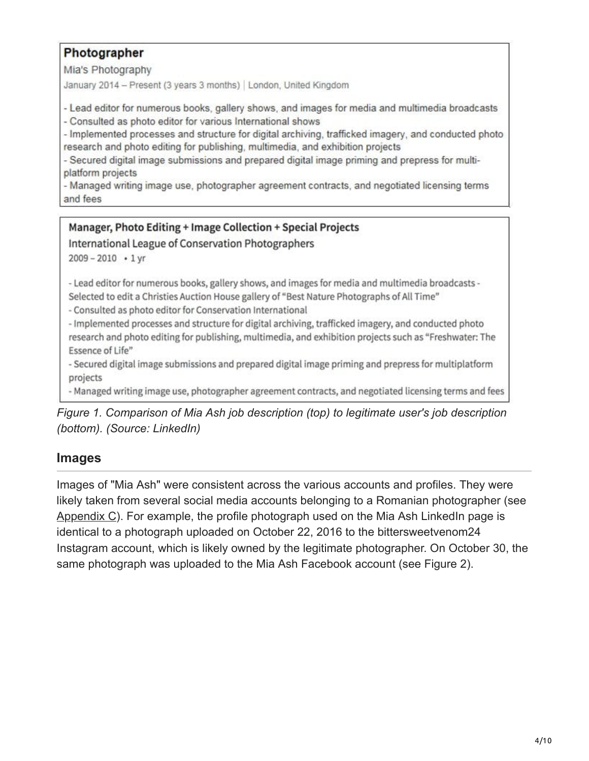#### Photographer

Mia's Photography

January 2014 - Present (3 years 3 months) | London, United Kingdom

- Lead editor for numerous books, gallery shows, and images for media and multimedia broadcasts

- Consulted as photo editor for various International shows

- Implemented processes and structure for digital archiving, trafficked imagery, and conducted photo research and photo editing for publishing, multimedia, and exhibition projects

- Secured digital image submissions and prepared digital image priming and prepress for multiplatform projects

- Managed writing image use, photographer agreement contracts, and negotiated licensing terms and fees

#### Manager, Photo Editing + Image Collection + Special Projects

International League of Conservation Photographers

 $2009 - 2010 + 1$  yr

- Lead editor for numerous books, gallery shows, and images for media and multimedia broadcasts -Selected to edit a Christies Auction House gallery of "Best Nature Photographs of All Time"

- Consulted as photo editor for Conservation International

- Implemented processes and structure for digital archiving, trafficked imagery, and conducted photo research and photo editing for publishing, multimedia, and exhibition projects such as "Freshwater: The Essence of Life"

- Secured digital image submissions and prepared digital image priming and prepress for multiplatform projects

- Managed writing image use, photographer agreement contracts, and negotiated licensing terms and fees

*Figure 1. Comparison of Mia Ash job description (top) to legitimate user's job description (bottom). (Source: LinkedIn)*

#### **Images**

Images of "Mia Ash" were consistent across the various accounts and profiles. They were likely taken from several social media accounts belonging to a Romanian photographer (see [Appendix C](#page-9-0)). For example, the profile photograph used on the Mia Ash LinkedIn page is identical to a photograph uploaded on October 22, 2016 to the bittersweetvenom24 Instagram account, which is likely owned by the legitimate photographer. On October 30, the same photograph was uploaded to the Mia Ash Facebook account (see Figure 2).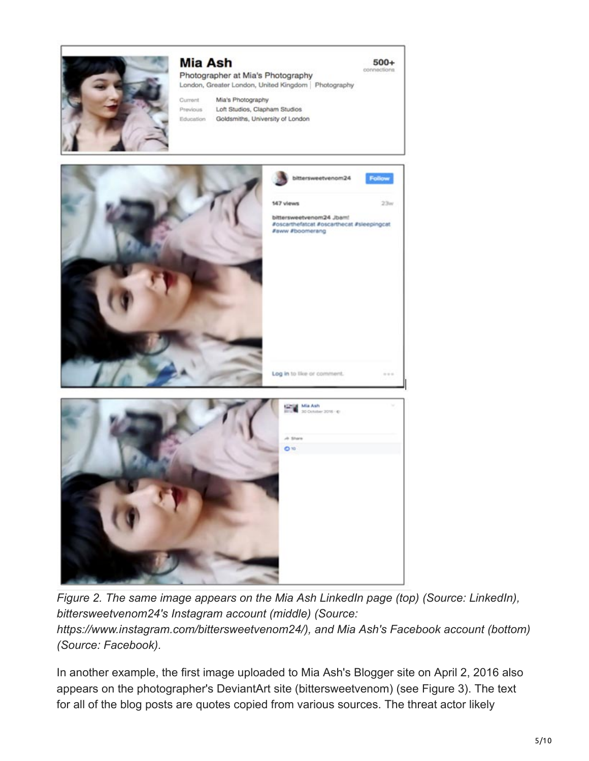

#### **Mia Ash**

Photographer at Mia's Photography London, Greater London, United Kingdom | Photography  $500+$ 

m

Mia's Photography Current Previous Loft Studios, Clapham Studios Education Goldsmiths, University of London





*Figure 2. The same image appears on the Mia Ash LinkedIn page (top) (Source: LinkedIn), bittersweetvenom24's Instagram account (middle) (Source: https://www.instagram.com/bittersweetvenom24/), and Mia Ash's Facebook account (bottom) (Source: Facebook).*

In another example, the first image uploaded to Mia Ash's Blogger site on April 2, 2016 also appears on the photographer's DeviantArt site (bittersweetvenom) (see Figure 3). The text for all of the blog posts are quotes copied from various sources. The threat actor likely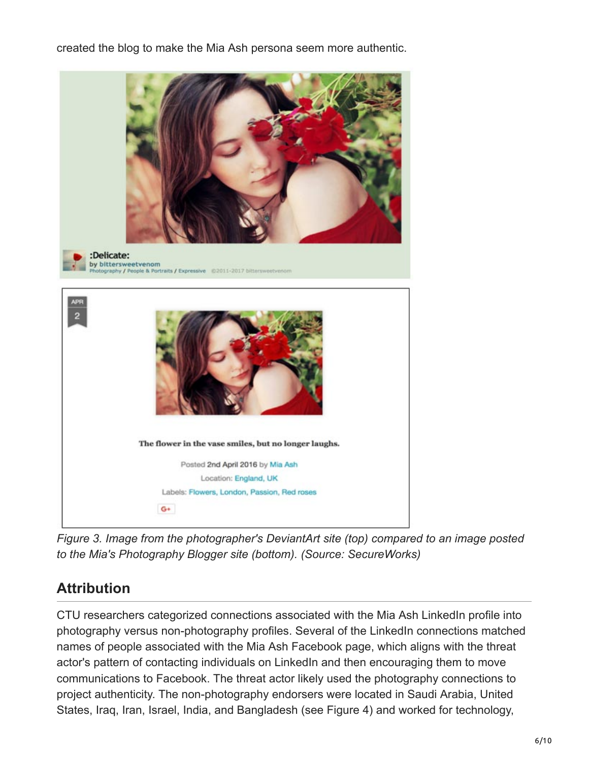created the blog to make the Mia Ash persona seem more authentic.



*Figure 3. Image from the photographer's DeviantArt site (top) compared to an image posted to the Mia's Photography Blogger site (bottom). (Source: SecureWorks)*

# **Attribution**

CTU researchers categorized connections associated with the Mia Ash LinkedIn profile into photography versus non-photography profiles. Several of the LinkedIn connections matched names of people associated with the Mia Ash Facebook page, which aligns with the threat actor's pattern of contacting individuals on LinkedIn and then encouraging them to move communications to Facebook. The threat actor likely used the photography connections to project authenticity. The non-photography endorsers were located in Saudi Arabia, United States, Iraq, Iran, Israel, India, and Bangladesh (see Figure 4) and worked for technology,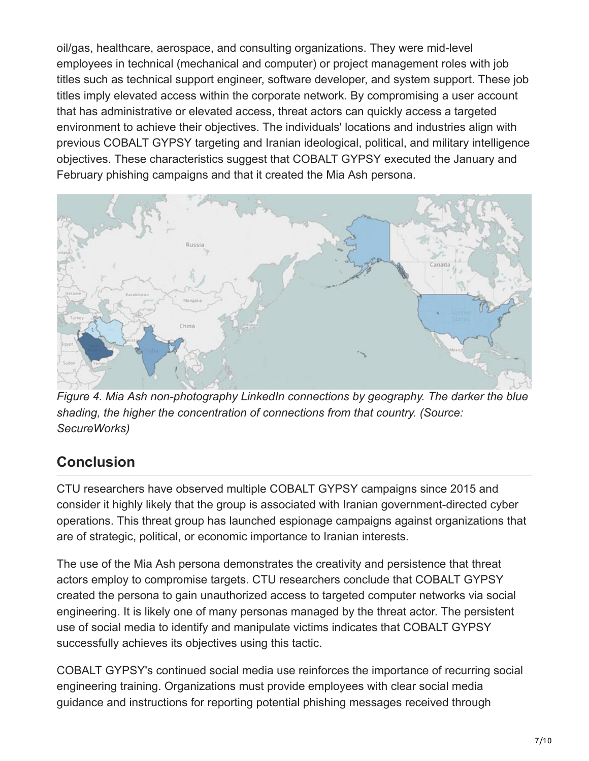oil/gas, healthcare, aerospace, and consulting organizations. They were mid-level employees in technical (mechanical and computer) or project management roles with job titles such as technical support engineer, software developer, and system support. These job titles imply elevated access within the corporate network. By compromising a user account that has administrative or elevated access, threat actors can quickly access a targeted environment to achieve their objectives. The individuals' locations and industries align with previous COBALT GYPSY targeting and Iranian ideological, political, and military intelligence objectives. These characteristics suggest that COBALT GYPSY executed the January and February phishing campaigns and that it created the Mia Ash persona.



*Figure 4. Mia Ash non-photography LinkedIn connections by geography. The darker the blue shading, the higher the concentration of connections from that country. (Source: SecureWorks)*

# **Conclusion**

CTU researchers have observed multiple COBALT GYPSY campaigns since 2015 and consider it highly likely that the group is associated with Iranian government-directed cyber operations. This threat group has launched espionage campaigns against organizations that are of strategic, political, or economic importance to Iranian interests.

The use of the Mia Ash persona demonstrates the creativity and persistence that threat actors employ to compromise targets. CTU researchers conclude that COBALT GYPSY created the persona to gain unauthorized access to targeted computer networks via social engineering. It is likely one of many personas managed by the threat actor. The persistent use of social media to identify and manipulate victims indicates that COBALT GYPSY successfully achieves its objectives using this tactic.

COBALT GYPSY's continued social media use reinforces the importance of recurring social engineering training. Organizations must provide employees with clear social media guidance and instructions for reporting potential phishing messages received through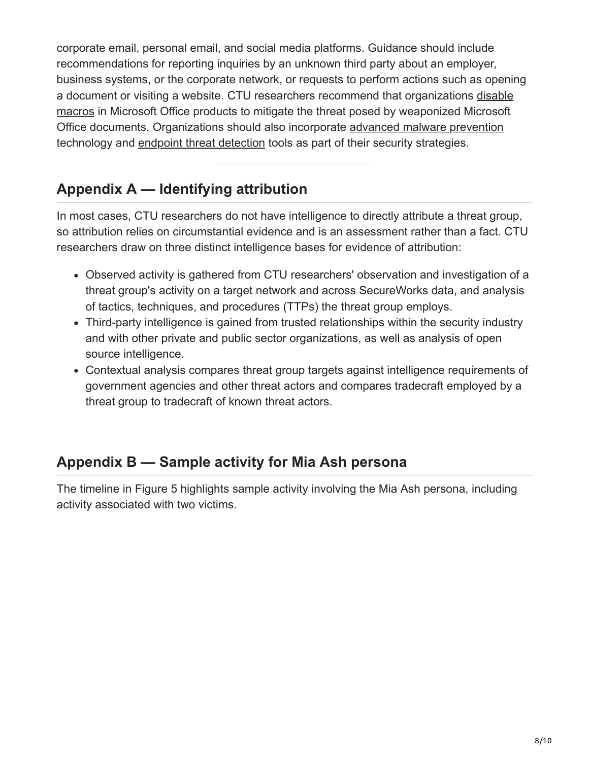corporate email, personal email, and social media platforms. Guidance should include recommendations for reporting inquiries by an unknown third party about an employer, business systems, or the corporate network, or requests to perform actions such as opening [a document or visiting a website. CTU researchers recommend that organizations disable](https://support.office.com/en-us/article/Enable-or-disable-macros-in-Office-documents-7B4FDD2E-174F-47E2-9611-9EFE4F860B12) macros in Microsoft Office products to mitigate the threat posed by weaponized Microsoft Office documents. Organizations should also incorporate [advanced malware prevention](https://www.secureworks.com/capabilities/managed-security/network-security/advanced-malware-protection) technology and [endpoint threat detection](https://www.secureworks.com/capabilities/managed-security/endpoint-security/endpoint-threat-detection) tools as part of their security strategies.

# <span id="page-7-0"></span>**Appendix A — Identifying attribution**

In most cases, CTU researchers do not have intelligence to directly attribute a threat group, so attribution relies on circumstantial evidence and is an assessment rather than a fact. CTU researchers draw on three distinct intelligence bases for evidence of attribution:

- Observed activity is gathered from CTU researchers' observation and investigation of a threat group's activity on a target network and across SecureWorks data, and analysis of tactics, techniques, and procedures (TTPs) the threat group employs.
- Third-party intelligence is gained from trusted relationships within the security industry and with other private and public sector organizations, as well as analysis of open source intelligence.
- Contextual analysis compares threat group targets against intelligence requirements of government agencies and other threat actors and compares tradecraft employed by a threat group to tradecraft of known threat actors.

## <span id="page-7-1"></span>**Appendix B — Sample activity for Mia Ash persona**

The timeline in Figure 5 highlights sample activity involving the Mia Ash persona, including activity associated with two victims.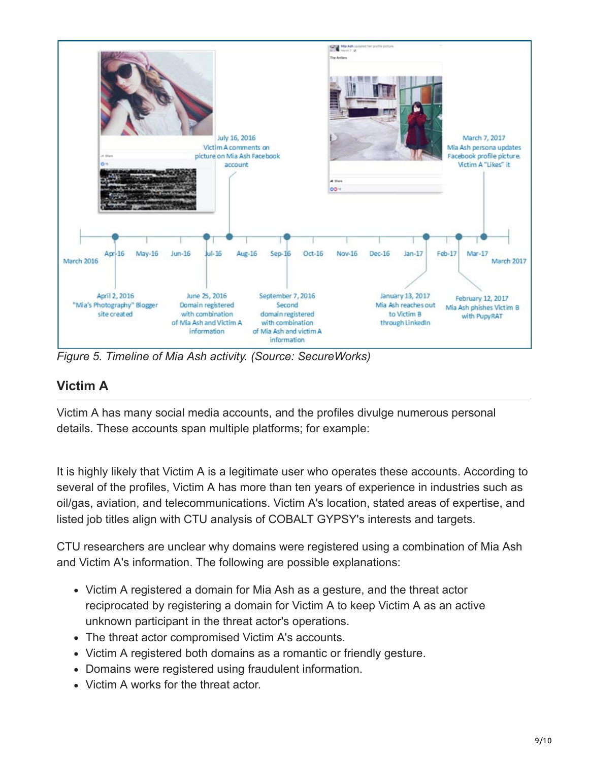

*Figure 5. Timeline of Mia Ash activity. (Source: SecureWorks)*

### **Victim A**

Victim A has many social media accounts, and the profiles divulge numerous personal details. These accounts span multiple platforms; for example:

It is highly likely that Victim A is a legitimate user who operates these accounts. According to several of the profiles, Victim A has more than ten years of experience in industries such as oil/gas, aviation, and telecommunications. Victim A's location, stated areas of expertise, and listed job titles align with CTU analysis of COBALT GYPSY's interests and targets.

CTU researchers are unclear why domains were registered using a combination of Mia Ash and Victim A's information. The following are possible explanations:

- Victim A registered a domain for Mia Ash as a gesture, and the threat actor reciprocated by registering a domain for Victim A to keep Victim A as an active unknown participant in the threat actor's operations.
- The threat actor compromised Victim A's accounts.
- Victim A registered both domains as a romantic or friendly gesture.
- Domains were registered using fraudulent information.
- Victim A works for the threat actor.